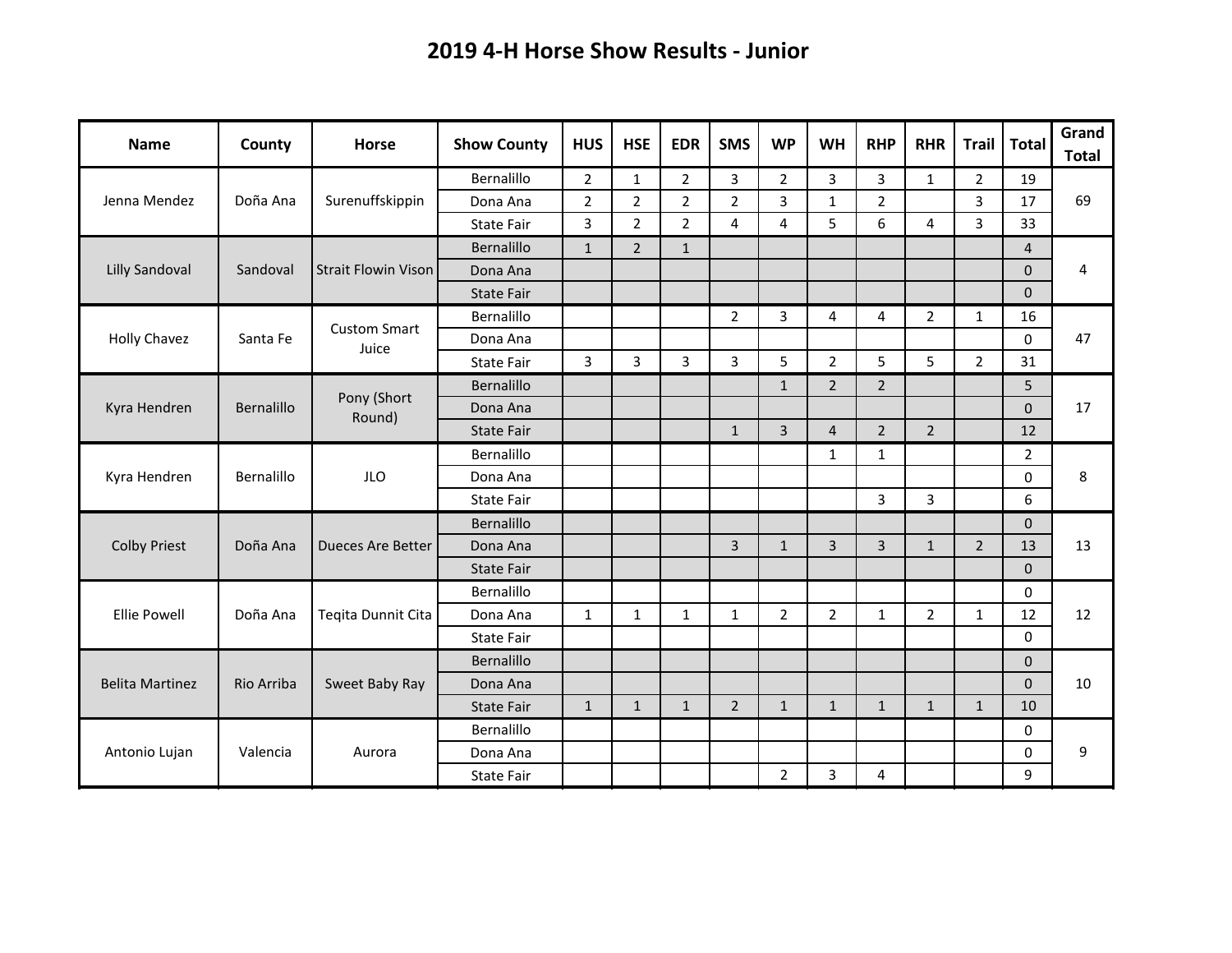| <b>Name</b>            | County     | <b>Horse</b>                 | <b>Show County</b> | <b>HUS</b>     | <b>HSE</b>     | <b>EDR</b>     | <b>SMS</b>     | <b>WP</b>      | <b>WH</b>      | <b>RHP</b>     | <b>RHR</b>     | <b>Trail</b>   | <b>Total</b>   | Grand<br><b>Total</b> |
|------------------------|------------|------------------------------|--------------------|----------------|----------------|----------------|----------------|----------------|----------------|----------------|----------------|----------------|----------------|-----------------------|
|                        |            |                              | Bernalillo         | $\overline{2}$ | $\mathbf{1}$   | $\overline{2}$ | 3              | $\overline{2}$ | 3              | 3              | $\mathbf{1}$   | $\overline{2}$ | 19             |                       |
| Jenna Mendez           | Doña Ana   | Surenuffskippin              | Dona Ana           | $\overline{2}$ | $\overline{2}$ | $\overline{2}$ | $\overline{2}$ | 3              | $\mathbf{1}$   | $\overline{2}$ |                | 3              | 17             | 69                    |
|                        |            |                              | <b>State Fair</b>  | 3              | $\overline{2}$ | $\overline{2}$ | 4              | 4              | 5              | 6              | 4              | 3              | 33             |                       |
|                        |            |                              | Bernalillo         | $\mathbf{1}$   | $\overline{2}$ | $\mathbf{1}$   |                |                |                |                |                |                | $\overline{4}$ |                       |
| <b>Lilly Sandoval</b>  | Sandoval   | <b>Strait Flowin Vison</b>   | Dona Ana           |                |                |                |                |                |                |                |                |                | $\mathbf{0}$   | 4                     |
|                        |            |                              | <b>State Fair</b>  |                |                |                |                |                |                |                |                |                | $\Omega$       |                       |
| <b>Holly Chavez</b>    | Santa Fe   | <b>Custom Smart</b><br>Juice | Bernalillo         |                |                |                | $\overline{2}$ | 3              | 4              | 4              | $\overline{2}$ | $\mathbf{1}$   | 16             | 47                    |
|                        |            |                              | Dona Ana           |                |                |                |                |                |                |                |                |                | $\mathbf 0$    |                       |
|                        |            |                              | <b>State Fair</b>  | 3              | 3              | 3              | 3              | 5              | $\overline{2}$ | 5              | 5              | $\overline{2}$ | 31             |                       |
| Kyra Hendren           | Bernalillo | Pony (Short                  | Bernalillo         |                |                |                |                | $\mathbf{1}$   | $\overline{2}$ | $\overline{2}$ |                |                | 5              | 17                    |
|                        |            |                              | Dona Ana           |                |                |                |                |                |                |                |                |                | $\Omega$       |                       |
|                        |            | Round)                       | State Fair         |                |                |                | $\mathbf{1}$   | $\overline{3}$ | $\overline{4}$ | $\overline{2}$ | $\overline{2}$ |                | 12             |                       |
|                        |            |                              | Bernalillo         |                |                |                |                |                | $\mathbf{1}$   | $\mathbf{1}$   |                |                | $\overline{2}$ |                       |
| Kyra Hendren           | Bernalillo | <b>JLO</b>                   | Dona Ana           |                |                |                |                |                |                |                |                |                | $\Omega$       | 8                     |
|                        |            |                              | State Fair         |                |                |                |                |                |                | 3              | 3              |                | 6              |                       |
|                        |            |                              | Bernalillo         |                |                |                |                |                |                |                |                |                | $\mathbf{0}$   |                       |
| <b>Colby Priest</b>    | Doña Ana   | <b>Dueces Are Better</b>     | Dona Ana           |                |                |                | $\overline{3}$ | $\mathbf{1}$   | $\overline{3}$ | $\overline{3}$ | $\mathbf{1}$   | $\overline{2}$ | 13             | 13                    |
|                        |            |                              | <b>State Fair</b>  |                |                |                |                |                |                |                |                |                | $\mathbf 0$    |                       |
| <b>Ellie Powell</b>    | Doña Ana   | Teqita Dunnit Cita           | Bernalillo         |                |                |                |                |                |                |                |                |                | $\Omega$       | 12                    |
|                        |            |                              | Dona Ana           | $\mathbf{1}$   | $\mathbf{1}$   | $\mathbf{1}$   | $\mathbf{1}$   | $\overline{2}$ | $\overline{2}$ | $\mathbf{1}$   | $\overline{2}$ | $\mathbf{1}$   | 12             |                       |
|                        |            |                              | <b>State Fair</b>  |                |                |                |                |                |                |                |                |                | $\mathbf{0}$   |                       |
| <b>Belita Martinez</b> | Rio Arriba | Sweet Baby Ray               | Bernalillo         |                |                |                |                |                |                |                |                |                | $\mathbf{0}$   | 10                    |
|                        |            |                              | Dona Ana           |                |                |                |                |                |                |                |                |                | $\mathbf 0$    |                       |
|                        |            |                              | <b>State Fair</b>  | $\mathbf{1}$   | $\mathbf{1}$   | $\mathbf{1}$   | $\overline{2}$ | $\mathbf{1}$   | $\mathbf{1}$   | $\mathbf{1}$   | $\mathbf{1}$   | $\mathbf{1}$   | 10             |                       |
| Antonio Lujan          | Valencia   | Aurora                       | Bernalillo         |                |                |                |                |                |                |                |                |                | 0              | 9                     |
|                        |            |                              | Dona Ana           |                |                |                |                |                |                |                |                |                | 0              |                       |
|                        |            |                              | State Fair         |                |                |                |                | $\overline{2}$ | 3              | 4              |                |                | 9              |                       |